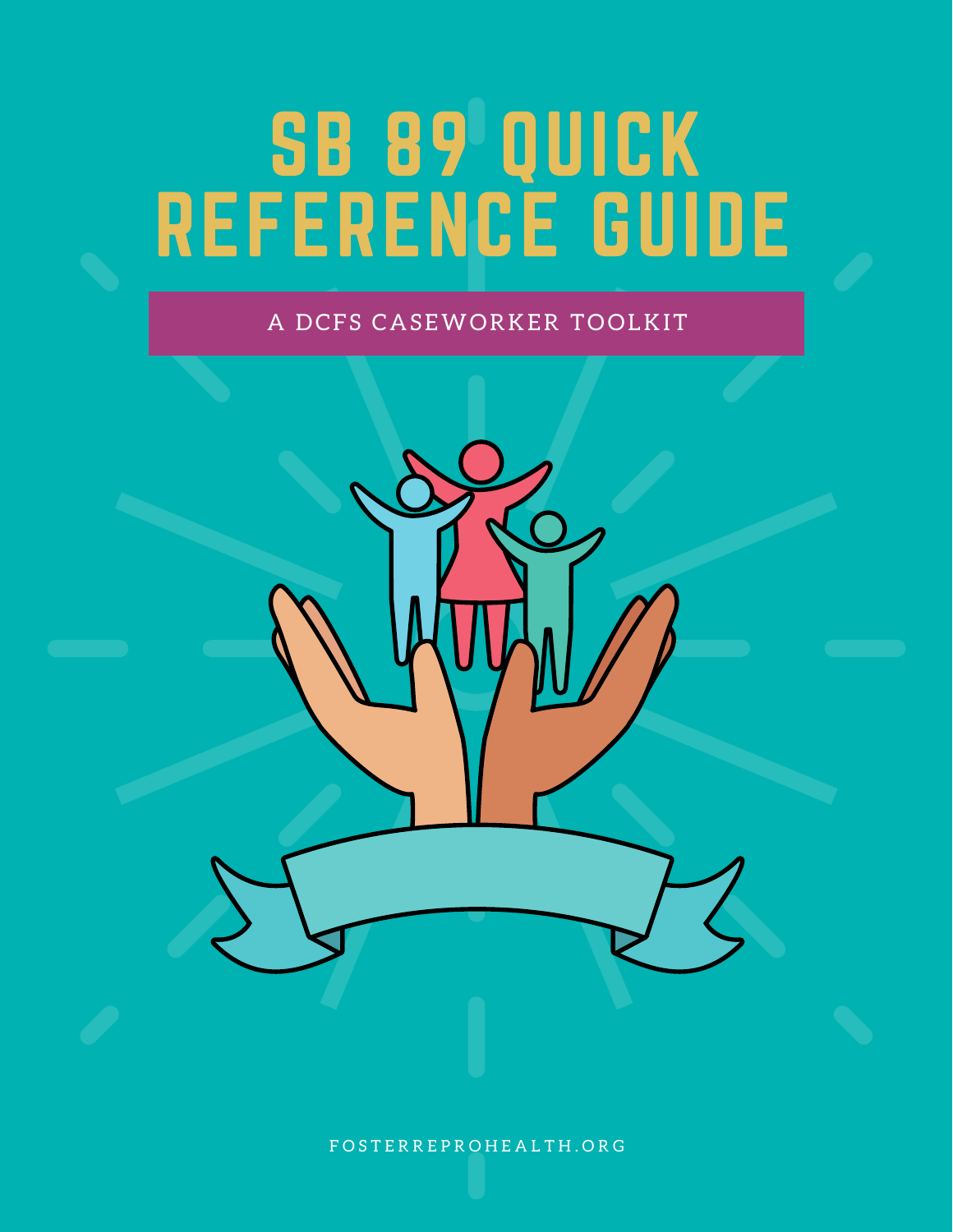# SB 89 QUICK REFERENCE GUIDE

### A DCFS CASEWORKER TOOLKIT

F O S T E R R E P R O H E A L T H . O R G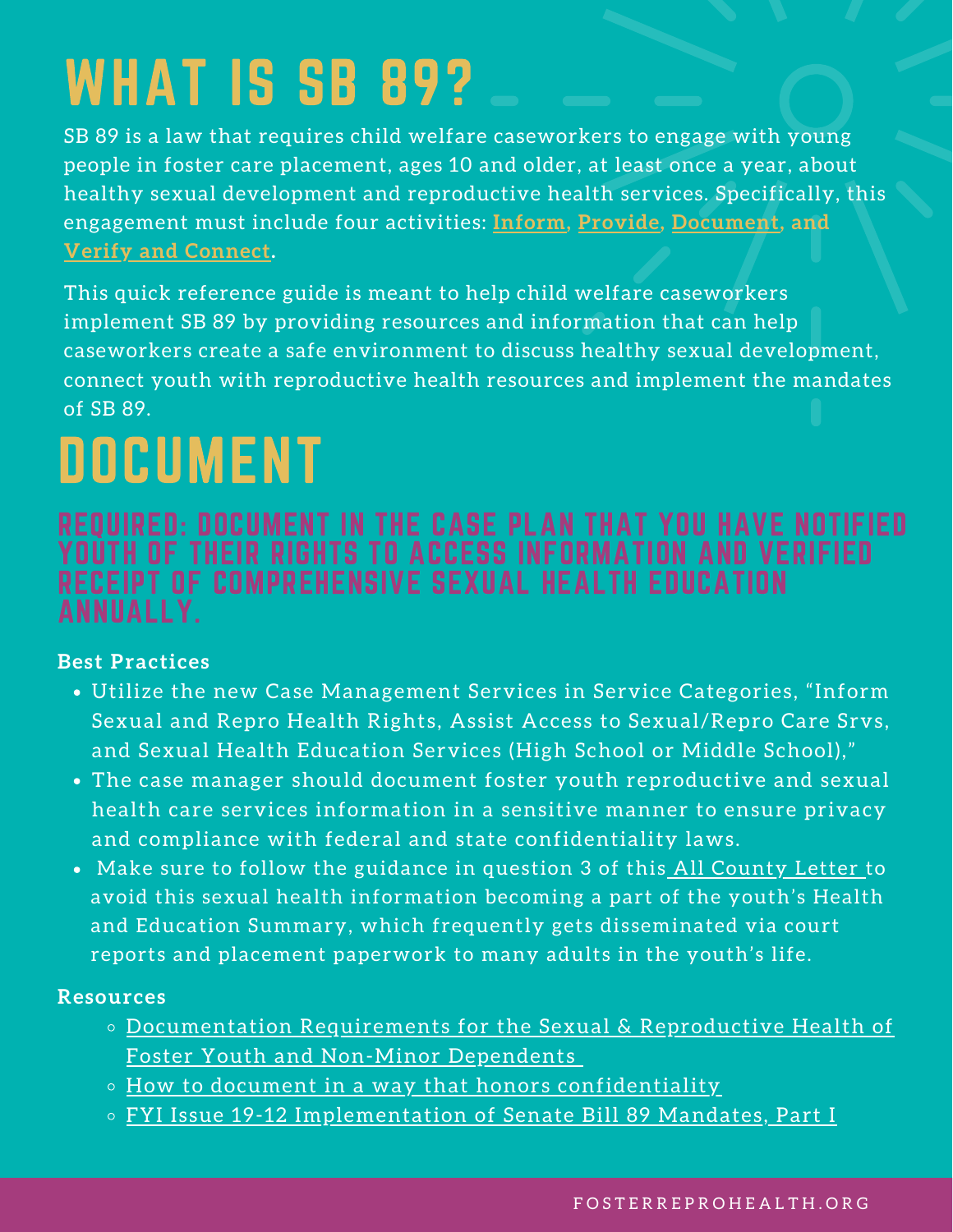# <span id="page-1-0"></span>WHAT IS SB 89?

SB 89 is a law that requires child welfare caseworkers to engage with young people in foster care placement, ages 10 and older, at least once a year, about healthy sexual development and reproductive health services. Specifically, this engagement must include four activities: **[Inform](#page-3-0), [Provide,](#page-4-0) [Document](#page-1-0), and Verify and [Connect.](#page-2-0)**

This quick reference guide is meant to help child welfare caseworkers implement SB 89 by providing resources and information that can help caseworkers create a safe environment to discuss healthy sexual development, connect youth with reproductive health resources and implement the mandates of SB 89.

# DOCUMENT

### REQUIRED: DOCUMENT IN THE CASE PLAN THAT YOU HAVE NOTIFIED YOUTH OF THEIR RIGHTS TO ACCESS INFORMATION AND VERIFIED RECEIPT OF COMPREHENSIVE SEXUAL HEALTH EDUCATION ANNUALLY.

### **Best Practices**

- Utilize the new Case Management Services in Service Categories, "Inform Sexual and Repro Health Rights, Assist Access to Sexual/Repro Care Srvs, and Sexual Health Education Services (High School or Middle School),"
- The case manager should document foster youth reproductive and sexual health care services information in a sensitive manner to ensure privacy and compliance with federal and state confidentiality laws.
- Make sure to follow the guidance in question 3 of this All [County](https://www.cdss.ca.gov/Portals/9/Additional-Resources/Letters-and-Notices/ACINs/2020/I-06_20.pdf) Letter to avoid this sexual health information becoming a part of the youth's Health and Education Summary, which frequently gets disseminated via court reports and placement paperwork to many adults in the youth's life.

### **Resources**

- [Documentation](https://drive.google.com/file/d/1v2mUanrvM_c3aedue0b9ewkRRUe6wxM9/view?usp=sharing) Requirements for the Sexual & Reproductive Health of Foster Youth and Non-Minor Dependents
- o How to document in a way that honors [confidentiality](https://www.cdss.ca.gov/Portals/9/Additional-Resources/Letters-and-Notices/ACINs/2020/I-06_20.pdf)
- o FYI Issue 19-12 [Implementation](https://drive.google.com/file/d/1fDhiCs9Ouv477TYO7kI9ryGawxMFp1ZD/view?usp=sharing) of Senate Bill 89 Mandates, Part I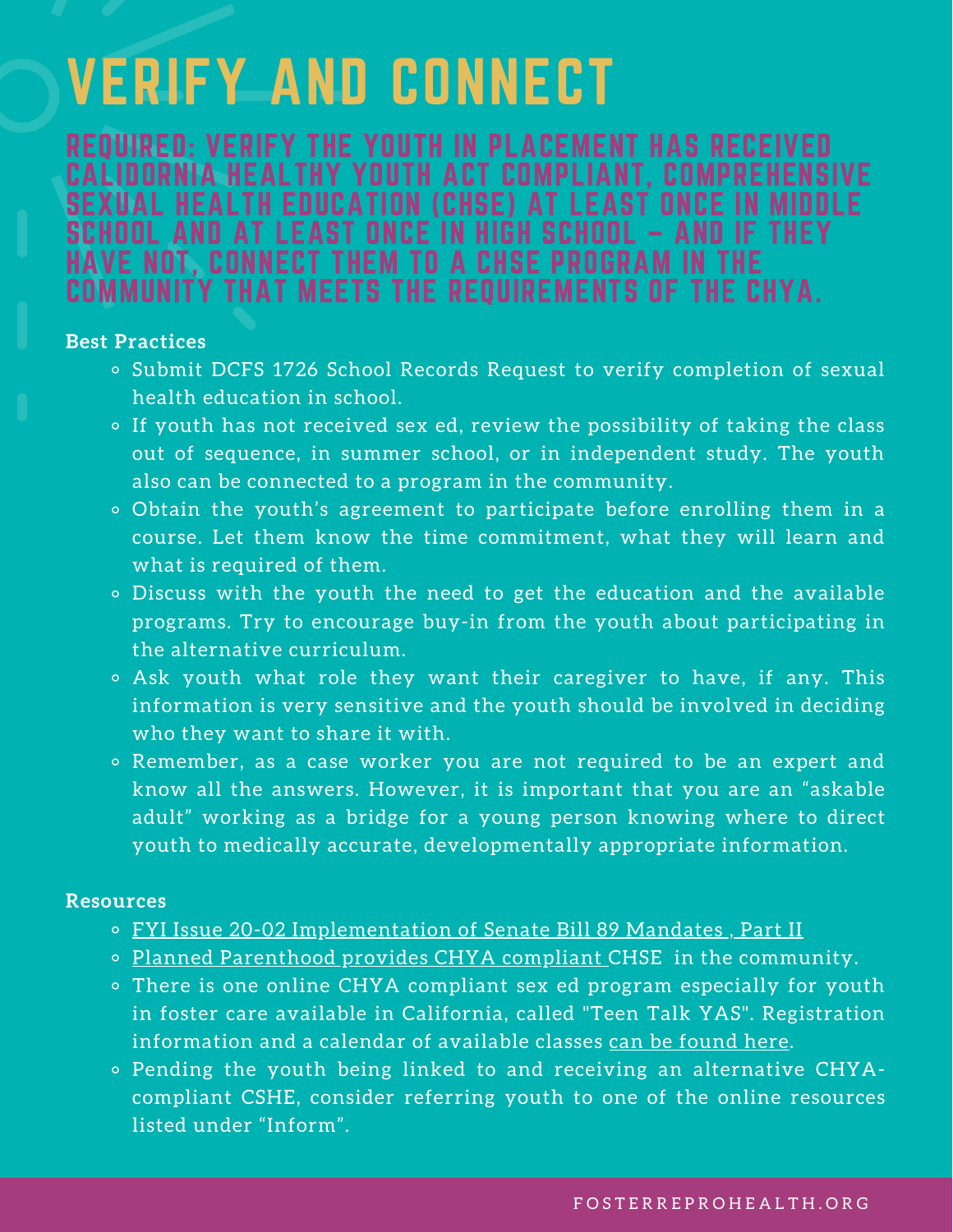### <span id="page-2-0"></span>VERIFY AND CONNECT

REQUIRED: VERIFY THE YOUTH IN PLACEMENT HAS RECEIVED CALIDORNIA HEALTHY YOUTH ACT COMPLIANT. COMPREH EXUAL HEALTH EDUCATION (CHSE) AT LEAST ON CHOOL AND AT LEAST ONCE IN HIGH SCHOOL – AND IF THEY VE NOT, CONNECT THEM TO A CHSE PROGRAM IN THE<br>MMUNITY THAT MEETS THE REOUIREMENTS OF THE CHYA. COMMUNITY THAT MEETS THE REQUIREMENTS OF

#### **Best Practices**

- o Submit DCFS 1726 School Records Request to verify completion of sexual health education in school.
- If youth has not received sex ed, review the possibility of taking the class out of sequence, in summer school, or in independent study. The youth also can be connected to a program in the community.
- Obtain the youth's agreement to participate before enrolling them in a course. Let them know the time commitment, what they will learn and what is required of them.
- Discuss with the youth the need to get the education and the available programs. Try to encourage buy-in from the youth about participating in the alternative curriculum.
- Ask youth what role they want their caregiver to have, if any. This information is very sensitive and the youth should be involved in deciding who they want to share it with.
- Remember, as a case worker you are not required to be an expert and know all the answers. However, it is important that you are an "askable adult" working as a bridge for a young person knowing where to direct youth to medically accurate, developmentally appropriate information.

#### **Resources**

- o FYI Issue 20-02 [Implementation](https://drive.google.com/file/d/1r9_YXFI3mQq4Cha8uDXh-dS_k5wx1NC0/view?usp=sharing) of Senate Bill 89 Mandates, Part II
- o Planned [Parenthood](https://www.plannedparenthood.org/california-planned-parenthood-education-fund/sex-education) provides CHYA compliant CHSE in the community.
- There is one online CHYA compliant sex ed program especially for youth in foster care available in California, called "Teen Talk YAS". Registration information and a calendar of available classes can be [found](https://fosterreprohealth.org/teentalk-virtual-comprehensive-sexed/) here.
- Pending the youth being linked to and receiving an alternative CHYAcompliant CSHE, consider referring youth to one of the online resources listed under ["Inform".](#page-3-0)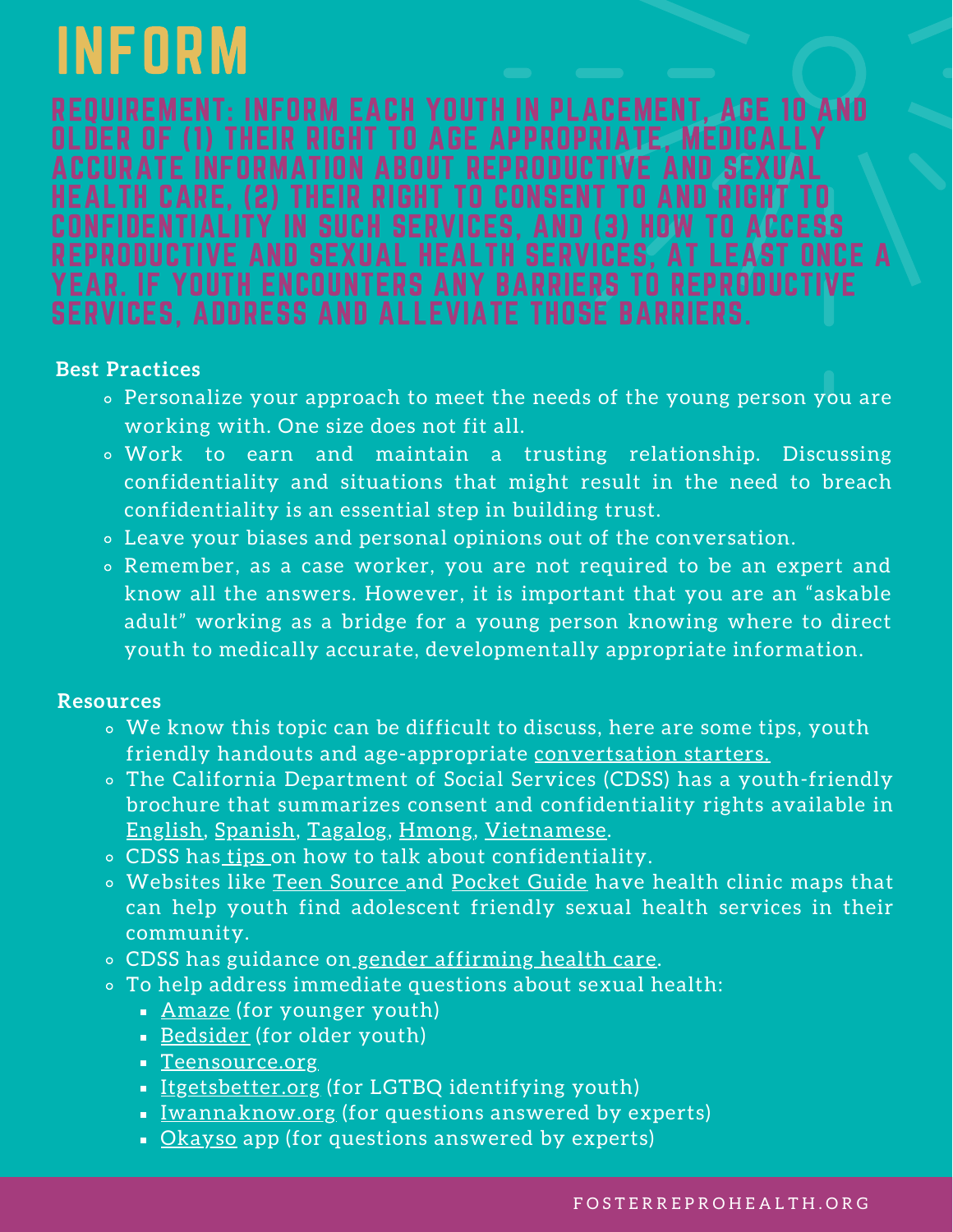# <span id="page-3-0"></span>INFORM

REQUIREMENT: INFORM EACH YOUTH IN PLACEMENT, AGE 10 AND THEIR RIGHT TO AGE APPROPRIATE, MED ACCURATE INFORMATION ABOUT REPRODUCTIVE AND HEALTH CARE, (2) THEIR RIGHT TO CONSENT TO AND NFIDENTIALITY IN SUCH SERVICES, AND (3) HOW REPRODUCTIVE AND SEXUAL HEALTH SERVICES, AT LEAS YEAR. IF YOUTH ENCOUNTERS ANY BARRIERS TO REPRODUCTIVE SERVICES, ADDRESS AND ALLEVIATE THOSE BARRIERS.

### **Best Practices**

- Personalize your approach to meet the needs of the young person you are working with. One size does not fit all.
- Work to earn and maintain a trusting relationship. Discussing confidentiality and situations that might result in the need to breach confidentiality is an essential step in building trust.
- Leave your biases and personal opinions out of the conversation.
- Remember, as a case worker, you are not required to be an expert and know all the answers. However, it is important that you are an "askable adult" working as a bridge for a young person knowing where to direct youth to medically accurate, developmentally appropriate information.

#### **Resources**

- We know this topic can be difficult to discuss, here are some tips, youth friendly handouts and age-appropriate [convertsation](https://fosterreprohealth.org/wp-content/uploads/2019/09/Age-Appropriate-Medically-Accurate-Sexual-Health-Fact-Sheets-Available-to-County-Social-Workers-English-Version.pdf) starters.
- The California Department of Social Services (CDSS) has a youth-friendly brochure that summarizes consent and confidentiality rights available in [English,](https://www.cdss.ca.gov/Portals/9/FMUForms/M-P/PUB490.pdf) [Spanish](https://www.cdss.ca.gov/Portals/9/TranslatedForms/Spanish/PUB%20490%20(4-2018)%20web%20version.pdf), [Tagalog](https://www.cdss.ca.gov/Portals/9/TranslatedForms/Tagalog/PUB_490_Tagalog.pdf), [Hmong,](https://www.cdss.ca.gov/Portals/9/TranslatedForms/Hmong/PUB_490_Hmong.pdf) [Vietnamese](https://www.cdss.ca.gov/Portals/9/TranslatedForms/Vietnamese/PUB_490_Vietnamese.pdf).
- o CDSS has [tips](https://www.cdss.ca.gov/Portals/9/HSD/202004-Talking-Tips-for-Case-Management-Workers.pdf) on how to talk about confidentiality.
- Websites like Teen [Source](https://www.teensource.org/?gclid=CjwKCAjw_L6LBhBbEiwA4c46uqtu86ZCNE0JRHXXbCyWF-MUWIhhjbKmRGPsRniJwYT3llgtFdZ7jhoCnLQQAvD_BwE) and [Pocket](https://www.pocketguidela.org/) Guide have health clinic maps that can help youth find adolescent friendly sexual health services in their community.
- o CDSS has guidance on gender [affirming](https://www.cdss.ca.gov/Portals/9/ACL/2019/19-27.pdf) health care.
- To help address immediate questions about sexual health:
	- [Amaze](https://amaze.org/) (for younger youth)
	- [Bedsider](https://www.bedsider.org/) (for older youth)
	- [Teensource.org](https://www.teensource.org/)
	- **[Itgetsbetter.org](http://itgetsbetter.org/) (for LGTBQ identifying youth)**
	- **I** <u>[Iwannaknow.org](http://www.iwannaknow.org/)</u> (for questions answered by experts)
	- [Okayso](https://www.okayso.co/) app (for questions answered by experts)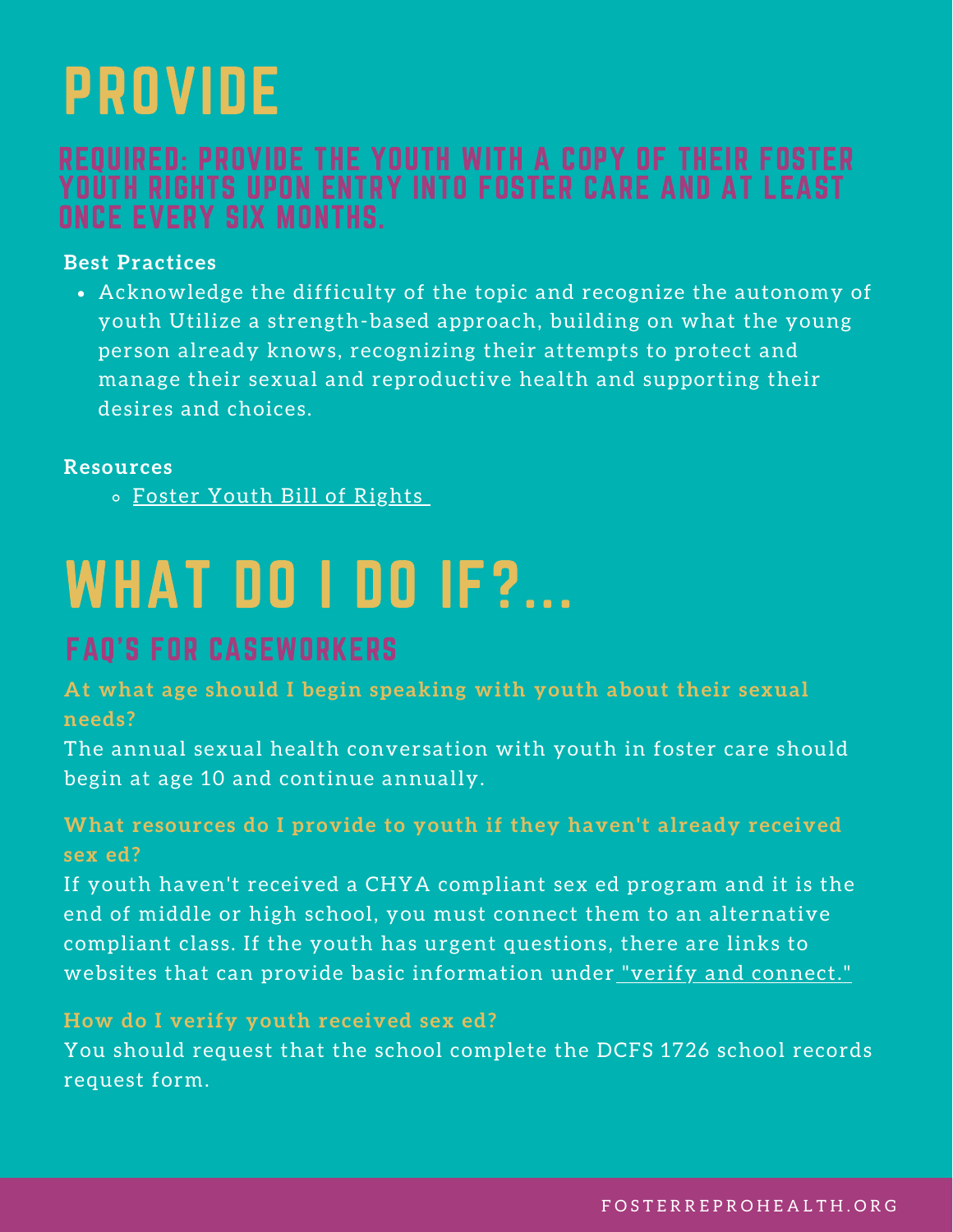### <span id="page-4-0"></span>PROVIDE

### REQUIRED: PROVIDE THE YOUTH WITH A COPY OF THEIR FOSTER YOUTH RIGHTS UPON ENTRY INTO FOSTER CARE AND AT LEAST ONCE EVERY SIX MONTHS.

### **Best Practices**

Acknowledge the difficulty of the topic and recognize the autonomy of youth Utilize a strength-based approach, building on what the young person already knows, recognizing their attempts to protect and manage their sexual and reproductive health and supporting their desires and choices.

#### **Resources**

o Foster Youth Bill of [Rights](https://leginfo.legislature.ca.gov/faces/codes_displaySection.xhtml?lawCode=WIC§ionNum=16001.9.)

# WHAT DO I DO IF?...

### FAQ'S FOR CASEWORKERS

**At what age should I begin speaking with youth about their sexual needs?**

The annual sexual health conversation with youth in foster care should begin at age 10 and continue annually.

### **What resources do I provide to youth if they haven't already received sex ed?**

If youth haven't received a CHYA compliant sex ed program and it is the end of middle or high school, you must connect them to an alternative compliant class. If the youth has urgent questions, there are links to websites that can provide basic information under "verify and [connect."](#page-2-0)

#### **How do I verify youth received sex ed?**

You should request that the school complete the DCFS 1726 school records request form.